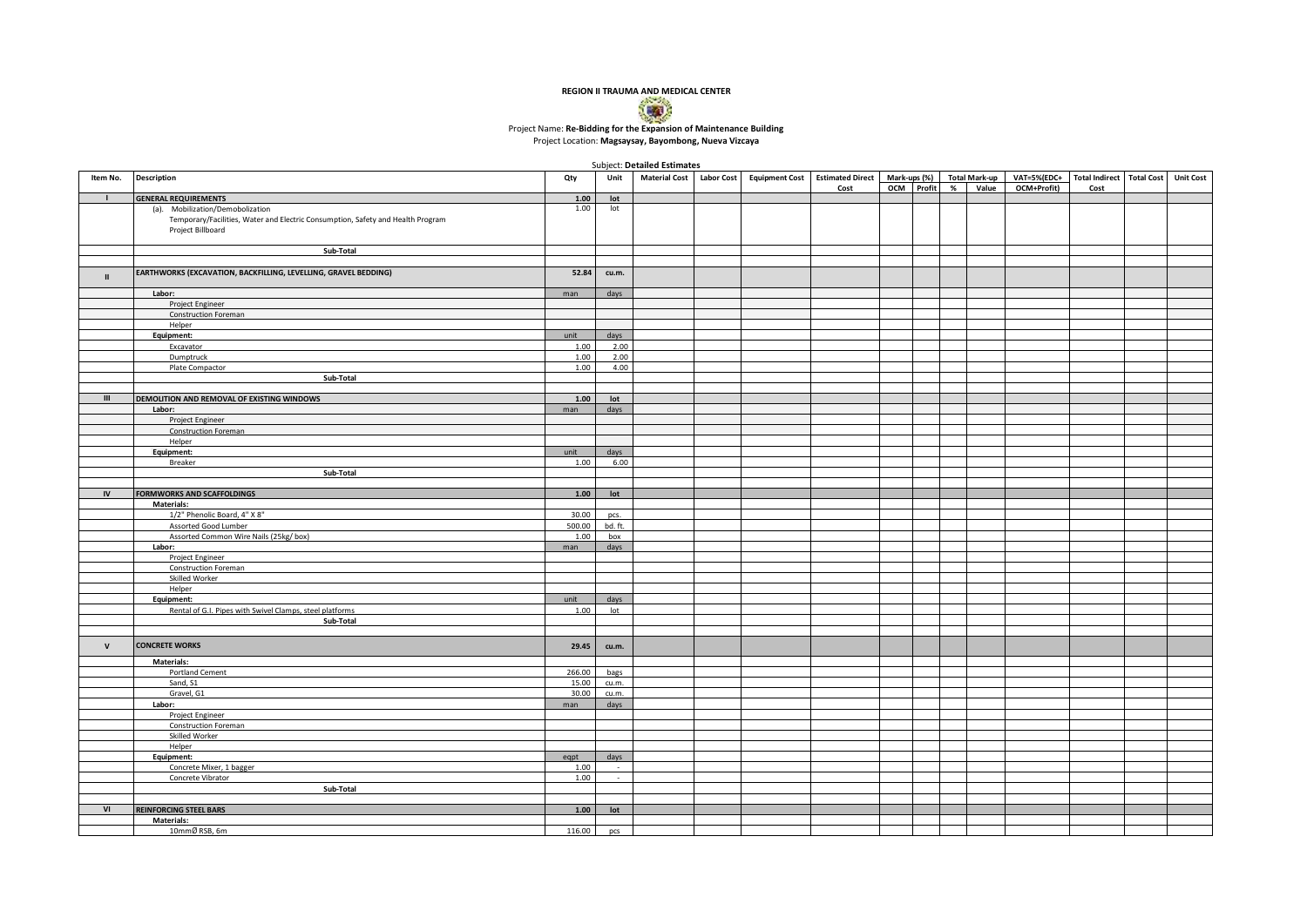

## Project Location: **Magsaysay, Bayombong, Nueva Vizcaya**

Subject: **Detailed Estimates** 

|               |                                                                                 |        | Unit    | <b>SUDJECT.</b> DETAILED ESTIMATES |                       |                                             |              |       |                                       |      |                  |
|---------------|---------------------------------------------------------------------------------|--------|---------|------------------------------------|-----------------------|---------------------------------------------|--------------|-------|---------------------------------------|------|------------------|
| Item No.      | <b>Description</b>                                                              | Qty    |         | Material Cost Labor Cost           | <b>Equipment Cost</b> | Estimated Direct Mark-ups (%) Total Mark-up | OCM Profit % | Value | VAT=5%(EDC+ Total Indirect Total Cost |      | <b>Unit Cost</b> |
|               |                                                                                 |        |         |                                    |                       | Cost                                        |              |       | OCM+Profit)                           | Cost |                  |
| $\mathbf{L}$  | <b>GENERAL REQUIREMENTS</b>                                                     | 1.00   | lot     |                                    |                       |                                             |              |       |                                       |      |                  |
|               | (a). Mobilization/Demobolization                                                | 1.00   | lot     |                                    |                       |                                             |              |       |                                       |      |                  |
|               | Temporary/Facilities, Water and Electric Consumption, Safety and Health Program |        |         |                                    |                       |                                             |              |       |                                       |      |                  |
|               | Project Billboard                                                               |        |         |                                    |                       |                                             |              |       |                                       |      |                  |
|               |                                                                                 |        |         |                                    |                       |                                             |              |       |                                       |      |                  |
|               | Sub-Total                                                                       |        |         |                                    |                       |                                             |              |       |                                       |      |                  |
|               |                                                                                 |        |         |                                    |                       |                                             |              |       |                                       |      |                  |
| $\mathbf{H}$  | EARTHWORKS (EXCAVATION, BACKFILLING, LEVELLING, GRAVEL BEDDING)                 | 52.84  | cu.m.   |                                    |                       |                                             |              |       |                                       |      |                  |
|               |                                                                                 |        |         |                                    |                       |                                             |              |       |                                       |      |                  |
|               | Labor:                                                                          | man    | days    |                                    |                       |                                             |              |       |                                       |      |                  |
|               | Project Engineer                                                                |        |         |                                    |                       |                                             |              |       |                                       |      |                  |
|               | <b>Construction Foreman</b>                                                     |        |         |                                    |                       |                                             |              |       |                                       |      |                  |
|               | Helper                                                                          |        |         |                                    |                       |                                             |              |       |                                       |      |                  |
|               | Equipment:                                                                      | unit   | days    |                                    |                       |                                             |              |       |                                       |      |                  |
|               | Excavator                                                                       | 1.00   | 2.00    |                                    |                       |                                             |              |       |                                       |      |                  |
|               | Dumptruck                                                                       | 1.00   | 2.00    |                                    |                       |                                             |              |       |                                       |      |                  |
|               | Plate Compactor                                                                 | 1.00   | 4.00    |                                    |                       |                                             |              |       |                                       |      |                  |
|               | Sub-Total                                                                       |        |         |                                    |                       |                                             |              |       |                                       |      |                  |
|               |                                                                                 |        |         |                                    |                       |                                             |              |       |                                       |      |                  |
| III           |                                                                                 |        |         |                                    |                       |                                             |              |       |                                       |      |                  |
|               | DEMOLITION AND REMOVAL OF EXISTING WINDOWS                                      | 1.00   | lot     |                                    |                       |                                             |              |       |                                       |      |                  |
|               | Labor:                                                                          | man    | days    |                                    |                       |                                             |              |       |                                       |      |                  |
|               | Project Engineer                                                                |        |         |                                    |                       |                                             |              |       |                                       |      |                  |
|               | <b>Construction Foreman</b>                                                     |        |         |                                    |                       |                                             |              |       |                                       |      |                  |
|               | Helper                                                                          |        |         |                                    |                       |                                             |              |       |                                       |      |                  |
|               | Equipment:                                                                      | unit   | days    |                                    |                       |                                             |              |       |                                       |      |                  |
|               | Breaker                                                                         | 1.00   | 6.00    |                                    |                       |                                             |              |       |                                       |      |                  |
|               | Sub-Total                                                                       |        |         |                                    |                       |                                             |              |       |                                       |      |                  |
|               |                                                                                 |        |         |                                    |                       |                                             |              |       |                                       |      |                  |
| IV            | <b>FORMWORKS AND SCAFFOLDINGS</b>                                               | 1.00   | lot     |                                    |                       |                                             |              |       |                                       |      |                  |
|               | <b>Materials:</b>                                                               |        |         |                                    |                       |                                             |              |       |                                       |      |                  |
|               | 1/2" Phenolic Board, 4" X 8"                                                    | 30.00  | pcs.    |                                    |                       |                                             |              |       |                                       |      |                  |
|               | Assorted Good Lumber                                                            | 500.00 | bd. ft. |                                    |                       |                                             |              |       |                                       |      |                  |
|               | Assorted Common Wire Nails (25kg/box)                                           | 1.00   | box     |                                    |                       |                                             |              |       |                                       |      |                  |
|               | Labor:                                                                          | man    | days    |                                    |                       |                                             |              |       |                                       |      |                  |
|               | Project Engineer                                                                |        |         |                                    |                       |                                             |              |       |                                       |      |                  |
|               | <b>Construction Foreman</b>                                                     |        |         |                                    |                       |                                             |              |       |                                       |      |                  |
|               | Skilled Worker                                                                  |        |         |                                    |                       |                                             |              |       |                                       |      |                  |
|               | Helper                                                                          |        |         |                                    |                       |                                             |              |       |                                       |      |                  |
|               | Equipment:                                                                      | unit   | days    |                                    |                       |                                             |              |       |                                       |      |                  |
|               |                                                                                 |        |         |                                    |                       |                                             |              |       |                                       |      |                  |
|               | Rental of G.I. Pipes with Swivel Clamps, steel platforms                        | 1.00   | lot     |                                    |                       |                                             |              |       |                                       |      |                  |
|               | Sub-Total                                                                       |        |         |                                    |                       |                                             |              |       |                                       |      |                  |
|               |                                                                                 |        |         |                                    |                       |                                             |              |       |                                       |      |                  |
| ${\mathsf V}$ | <b>CONCRETE WORKS</b>                                                           | 29.45  | cu.m.   |                                    |                       |                                             |              |       |                                       |      |                  |
|               |                                                                                 |        |         |                                    |                       |                                             |              |       |                                       |      |                  |
|               | <b>Materials:</b>                                                               |        |         |                                    |                       |                                             |              |       |                                       |      |                  |
|               | Portland Cement                                                                 | 266.00 | bags    |                                    |                       |                                             |              |       |                                       |      |                  |
|               | Sand, S1                                                                        | 15.00  | cu.m.   |                                    |                       |                                             |              |       |                                       |      |                  |
|               | Gravel, G1                                                                      | 30.00  | cu.m.   |                                    |                       |                                             |              |       |                                       |      |                  |
|               | Labor:                                                                          | man    | days    |                                    |                       |                                             |              |       |                                       |      |                  |
|               | Project Engineer                                                                |        |         |                                    |                       |                                             |              |       |                                       |      |                  |
|               | Construction Foreman                                                            |        |         |                                    |                       |                                             |              |       |                                       |      |                  |
|               | Skilled Worker                                                                  |        |         |                                    |                       |                                             |              |       |                                       |      |                  |
|               | Helper                                                                          |        |         |                                    |                       |                                             |              |       |                                       |      |                  |
|               | Equipment:                                                                      | egpt   | days    |                                    |                       |                                             |              |       |                                       |      |                  |
|               | Concrete Mixer, 1 bagger                                                        | 1.00   | $\sim$  |                                    |                       |                                             |              |       |                                       |      |                  |
|               | Concrete Vibrator                                                               | 1.00   | $\sim$  |                                    |                       |                                             |              |       |                                       |      |                  |
|               | Sub-Total                                                                       |        |         |                                    |                       |                                             |              |       |                                       |      |                  |
|               |                                                                                 |        |         |                                    |                       |                                             |              |       |                                       |      |                  |
| VI            | <b>REINFORCING STEEL BARS</b>                                                   | 1.00   | lot     |                                    |                       |                                             |              |       |                                       |      |                  |
|               | Materials:                                                                      |        |         |                                    |                       |                                             |              |       |                                       |      |                  |
|               | 10mmØRSB, 6m                                                                    | 116.00 | pcs     |                                    |                       |                                             |              |       |                                       |      |                  |
|               |                                                                                 |        |         |                                    |                       |                                             |              |       |                                       |      |                  |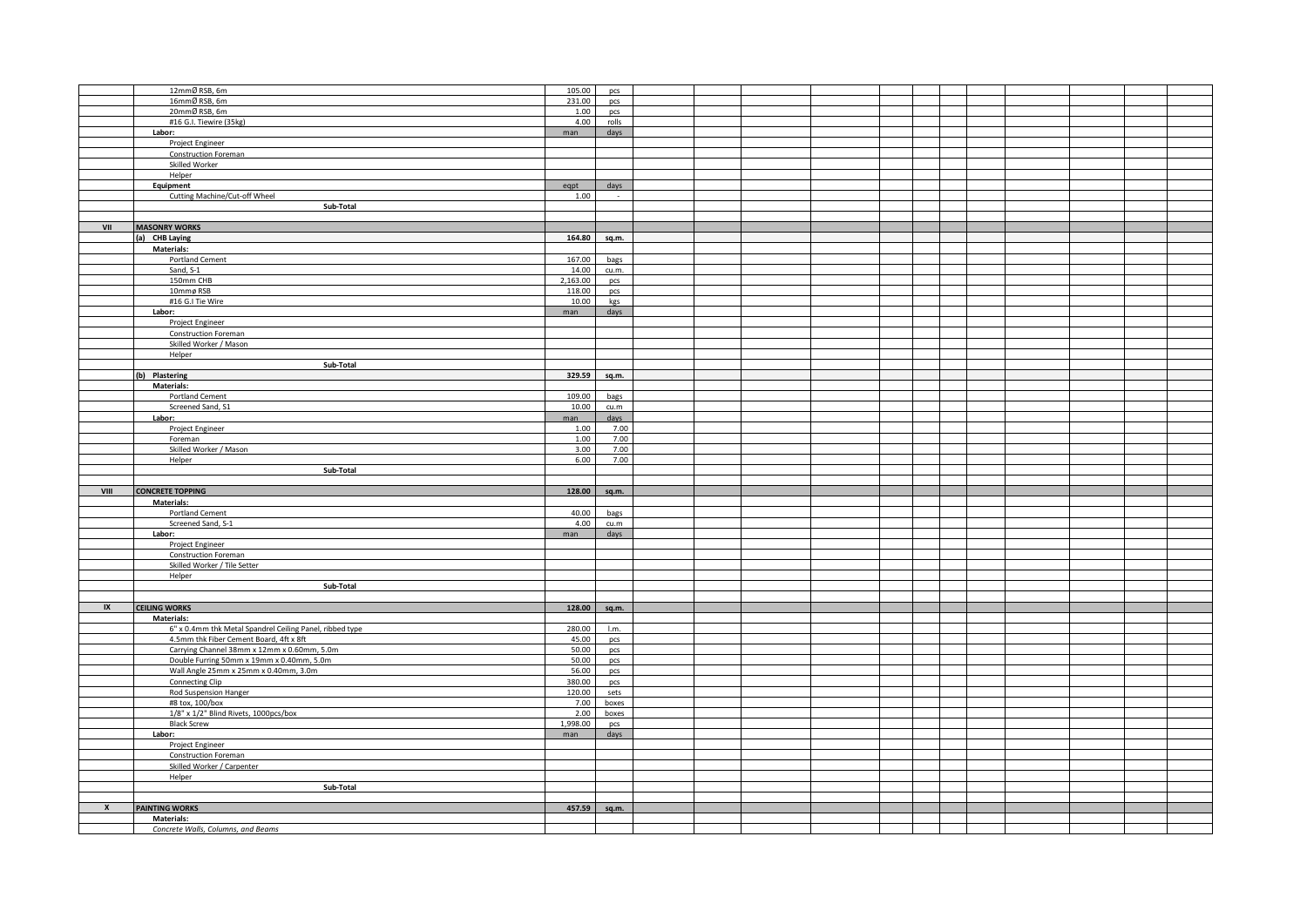|                         | 12mmØRSB, 6m                                             | 105.00       | pcs          |  |  |  |  |  |  |
|-------------------------|----------------------------------------------------------|--------------|--------------|--|--|--|--|--|--|
|                         | 16mmØRSB, 6m                                             | 231.00       | pcs          |  |  |  |  |  |  |
|                         | 20mmØRSB, 6m                                             | 1.00         |              |  |  |  |  |  |  |
|                         |                                                          | 4.00         | pcs          |  |  |  |  |  |  |
|                         | #16 G.I. Tiewire (35kg)                                  |              | rolls        |  |  |  |  |  |  |
|                         | Labor:                                                   | man          | days         |  |  |  |  |  |  |
|                         | Project Engineer                                         |              |              |  |  |  |  |  |  |
|                         | Construction Foreman                                     |              |              |  |  |  |  |  |  |
|                         | Skilled Worker                                           |              |              |  |  |  |  |  |  |
|                         | Helper                                                   |              |              |  |  |  |  |  |  |
|                         | Equipment                                                | eqpt         | days         |  |  |  |  |  |  |
|                         | Cutting Machine/Cut-off Wheel                            | 1.00         | $\sim$       |  |  |  |  |  |  |
|                         | Sub-Total                                                |              |              |  |  |  |  |  |  |
|                         |                                                          |              |              |  |  |  |  |  |  |
| VII                     |                                                          |              |              |  |  |  |  |  |  |
|                         | <b>MASONRY WORKS</b>                                     |              |              |  |  |  |  |  |  |
|                         | (a) CHB Laying                                           |              | 164.80 sq.m. |  |  |  |  |  |  |
|                         | <b>Materials:</b>                                        |              |              |  |  |  |  |  |  |
|                         | Portland Cement                                          | 167.00       | bags         |  |  |  |  |  |  |
|                         | Sand, S-1                                                | 14.00        | cu.m.        |  |  |  |  |  |  |
|                         | 150mm CHB                                                | 2,163.00     | pcs          |  |  |  |  |  |  |
|                         | 10mmø RSB                                                | 118.00       | pcs          |  |  |  |  |  |  |
|                         | #16 G.I Tie Wire                                         | 10.00        | kgs          |  |  |  |  |  |  |
|                         | Labor:                                                   | man          | days         |  |  |  |  |  |  |
|                         | Project Engineer                                         |              |              |  |  |  |  |  |  |
|                         |                                                          |              |              |  |  |  |  |  |  |
|                         | <b>Construction Foreman</b>                              |              |              |  |  |  |  |  |  |
|                         | Skilled Worker / Mason                                   |              |              |  |  |  |  |  |  |
|                         | Helper                                                   |              |              |  |  |  |  |  |  |
|                         | Sub-Total                                                |              |              |  |  |  |  |  |  |
|                         | (b) Plastering                                           | 329.59 sq.m. |              |  |  |  |  |  |  |
|                         | Materials:                                               |              |              |  |  |  |  |  |  |
|                         | Portland Cement                                          | 109.00       | bags         |  |  |  |  |  |  |
|                         | Screened Sand, S1                                        | 10.00        | cu.m         |  |  |  |  |  |  |
|                         | Labor:                                                   | man          | days         |  |  |  |  |  |  |
|                         | Project Engineer                                         | 1.00         | 7.00         |  |  |  |  |  |  |
|                         |                                                          |              | 7.00         |  |  |  |  |  |  |
|                         | Foreman                                                  | 1.00         |              |  |  |  |  |  |  |
|                         | Skilled Worker / Mason                                   | 3.00         | 7.00         |  |  |  |  |  |  |
|                         | Helper                                                   | 6.00         | 7.00         |  |  |  |  |  |  |
|                         | Sub-Total                                                |              |              |  |  |  |  |  |  |
|                         |                                                          |              |              |  |  |  |  |  |  |
|                         |                                                          |              |              |  |  |  |  |  |  |
| VIII                    | <b>CONCRETE TOPPING</b>                                  | 128.00       | sq.m.        |  |  |  |  |  |  |
|                         | <b>Materials:</b>                                        |              |              |  |  |  |  |  |  |
|                         |                                                          |              |              |  |  |  |  |  |  |
|                         | Portland Cement                                          | 40.00        | bags         |  |  |  |  |  |  |
|                         | Screened Sand, S-1                                       | 4.00         | cu.m         |  |  |  |  |  |  |
|                         | Labor:                                                   | man          | days         |  |  |  |  |  |  |
|                         | Project Engineer                                         |              |              |  |  |  |  |  |  |
|                         | <b>Construction Foreman</b>                              |              |              |  |  |  |  |  |  |
|                         | Skilled Worker / Tile Setter                             |              |              |  |  |  |  |  |  |
|                         | Helper                                                   |              |              |  |  |  |  |  |  |
|                         | Sub-Total                                                |              |              |  |  |  |  |  |  |
|                         |                                                          |              |              |  |  |  |  |  |  |
| $\mathsf{I} \mathsf{X}$ | <b>CEILING WORKS</b>                                     |              | 128.00 sq.m. |  |  |  |  |  |  |
|                         | <b>Materials:</b>                                        |              |              |  |  |  |  |  |  |
|                         | 6" x 0.4mm thk Metal Spandrel Ceiling Panel, ribbed type | 280.00       | 1.m.         |  |  |  |  |  |  |
|                         | 4.5mm thk Fiber Cement Board, 4ft x 8ft                  | 45.00        |              |  |  |  |  |  |  |
|                         |                                                          |              | pcs          |  |  |  |  |  |  |
|                         | Carrying Channel 38mm x 12mm x 0.60mm, 5.0m              | 50.00        | pcs          |  |  |  |  |  |  |
|                         | Double Furring 50mm x 19mm x 0.40mm, 5.0m                | 50.00        | pcs          |  |  |  |  |  |  |
|                         | Wall Angle 25mm x 25mm x 0.40mm, 3.0m                    | 56.00        | pcs          |  |  |  |  |  |  |
|                         | Connecting Clip                                          | 380.00       | pcs          |  |  |  |  |  |  |
|                         | Rod Suspension Hanger                                    | 120.00       | sets         |  |  |  |  |  |  |
|                         | #8 tox, 100/box                                          | 7.00         | boxes        |  |  |  |  |  |  |
|                         | 1/8" x 1/2" Blind Rivets, 1000pcs/box                    | 2.00         | boxes        |  |  |  |  |  |  |
|                         | <b>Black Screw</b>                                       | 1,998.00     | pcs          |  |  |  |  |  |  |
|                         | Labor:                                                   | man          | days         |  |  |  |  |  |  |
|                         |                                                          |              |              |  |  |  |  |  |  |
|                         | Project Engineer                                         |              |              |  |  |  |  |  |  |
|                         | Construction Foreman                                     |              |              |  |  |  |  |  |  |
|                         | Skilled Worker / Carpenter                               |              |              |  |  |  |  |  |  |
|                         | Helper                                                   |              |              |  |  |  |  |  |  |
|                         | Sub-Total                                                |              |              |  |  |  |  |  |  |
|                         |                                                          |              |              |  |  |  |  |  |  |
|                         | <b>PAINTING WORKS</b>                                    | 457.59 sq.m. |              |  |  |  |  |  |  |
|                         | <b>Materials:</b><br>Concrete Walls, Columns, and Beams  |              |              |  |  |  |  |  |  |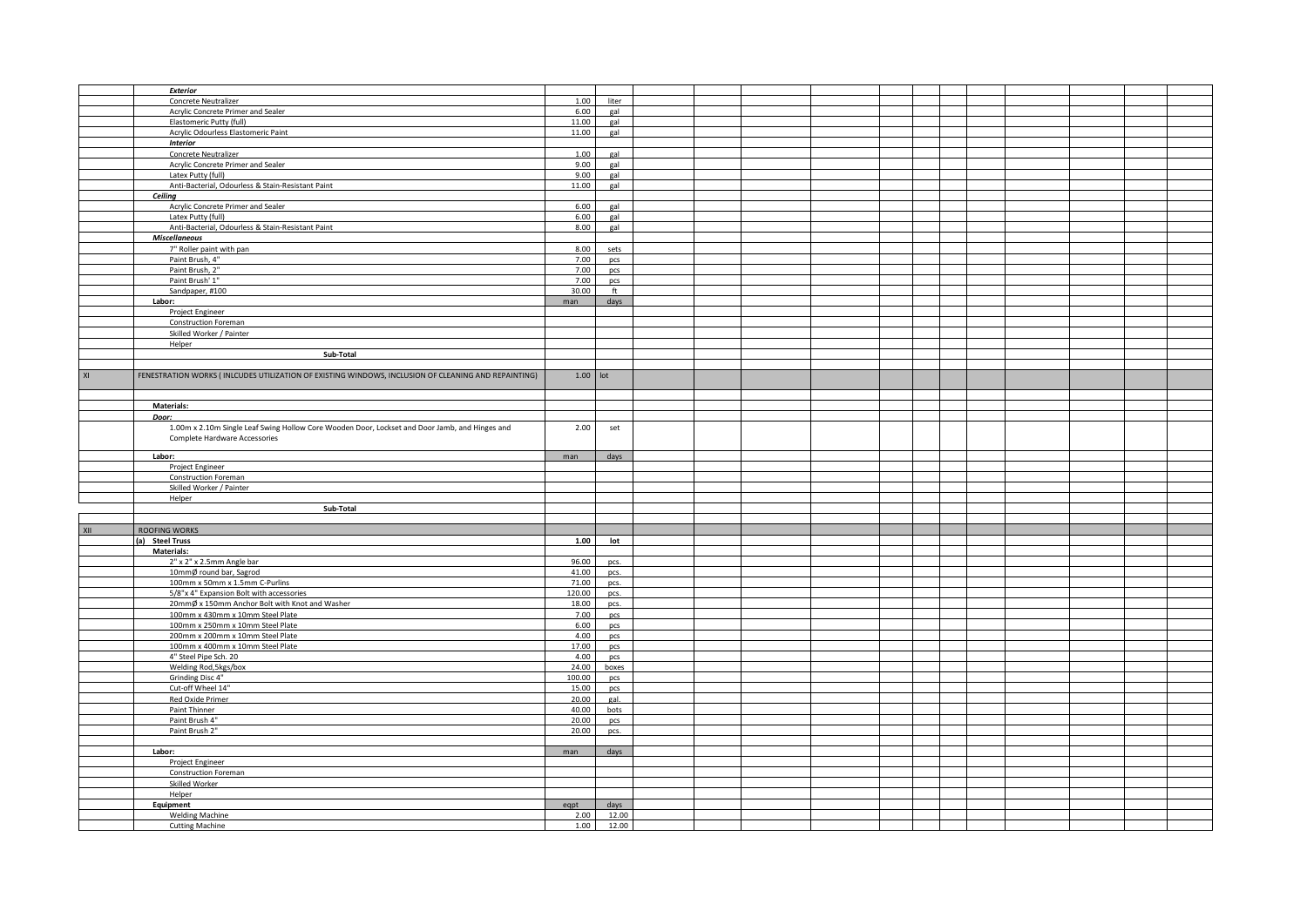|    | Exterior                                                                                            |              |                |  |  |  |  |  |  |
|----|-----------------------------------------------------------------------------------------------------|--------------|----------------|--|--|--|--|--|--|
|    | Concrete Neutralizer                                                                                | 1.00         | liter          |  |  |  |  |  |  |
|    | Acrylic Concrete Primer and Sealer                                                                  | 6.00         | gal            |  |  |  |  |  |  |
|    | Elastomeric Putty (full)                                                                            | 11.00        | gal            |  |  |  |  |  |  |
|    | Acrylic Odourless Elastomeric Paint                                                                 | 11.00        | gal            |  |  |  |  |  |  |
|    | <b>Interior</b>                                                                                     |              |                |  |  |  |  |  |  |
|    |                                                                                                     |              |                |  |  |  |  |  |  |
|    | Concrete Neutralizer                                                                                | 1.00         | gal            |  |  |  |  |  |  |
|    | Acrylic Concrete Primer and Sealer                                                                  | 9.00         | gal            |  |  |  |  |  |  |
|    | Latex Putty (full)                                                                                  | 9.00         | gal            |  |  |  |  |  |  |
|    | Anti-Bacterial, Odourless & Stain-Resistant Paint                                                   | 11.00        | gal            |  |  |  |  |  |  |
|    |                                                                                                     |              |                |  |  |  |  |  |  |
|    | Ceiling                                                                                             |              |                |  |  |  |  |  |  |
|    | Acrylic Concrete Primer and Sealer                                                                  | 6.00         | gal            |  |  |  |  |  |  |
|    | Latex Putty (full)                                                                                  | 6.00         | gal            |  |  |  |  |  |  |
|    | Anti-Bacterial, Odourless & Stain-Resistant Paint                                                   | 8.00         | gal            |  |  |  |  |  |  |
|    |                                                                                                     |              |                |  |  |  |  |  |  |
|    | <b>Miscellaneous</b>                                                                                |              |                |  |  |  |  |  |  |
|    | 7" Roller paint with pan                                                                            | 8.00         | sets           |  |  |  |  |  |  |
|    | Paint Brush, 4"                                                                                     | 7.00         | pcs            |  |  |  |  |  |  |
|    | Paint Brush, 2"                                                                                     | 7.00         | pcs            |  |  |  |  |  |  |
|    | Paint Brush' 1"                                                                                     | 7.00         | pcs            |  |  |  |  |  |  |
|    |                                                                                                     |              |                |  |  |  |  |  |  |
|    | Sandpaper, #100                                                                                     | 30.00        | ft             |  |  |  |  |  |  |
|    | Labor:                                                                                              | man          | days           |  |  |  |  |  |  |
|    | Project Engineer                                                                                    |              |                |  |  |  |  |  |  |
|    | <b>Construction Foreman</b>                                                                         |              |                |  |  |  |  |  |  |
|    | Skilled Worker / Painter                                                                            |              |                |  |  |  |  |  |  |
|    |                                                                                                     |              |                |  |  |  |  |  |  |
|    | Helper                                                                                              |              |                |  |  |  |  |  |  |
|    | Sub-Total                                                                                           |              |                |  |  |  |  |  |  |
|    |                                                                                                     |              |                |  |  |  |  |  |  |
| XI | FENESTRATION WORKS (INLCUDES UTILIZATION OF EXISTING WINDOWS, INCLUSION OF CLEANING AND REPAINTING) | $1.00$ lot   |                |  |  |  |  |  |  |
|    |                                                                                                     |              |                |  |  |  |  |  |  |
|    |                                                                                                     |              |                |  |  |  |  |  |  |
|    |                                                                                                     |              |                |  |  |  |  |  |  |
|    | Materials:                                                                                          |              |                |  |  |  |  |  |  |
|    | Door:                                                                                               |              |                |  |  |  |  |  |  |
|    | 1.00m x 2.10m Single Leaf Swing Hollow Core Wooden Door, Lockset and Door Jamb, and Hinges and      | 2.00         | set            |  |  |  |  |  |  |
|    |                                                                                                     |              |                |  |  |  |  |  |  |
|    | Complete Hardware Accessories                                                                       |              |                |  |  |  |  |  |  |
|    |                                                                                                     |              |                |  |  |  |  |  |  |
|    | Labor:                                                                                              | man          | days           |  |  |  |  |  |  |
|    | Project Engineer                                                                                    |              |                |  |  |  |  |  |  |
|    | <b>Construction Foreman</b>                                                                         |              |                |  |  |  |  |  |  |
|    | Skilled Worker / Painter                                                                            |              |                |  |  |  |  |  |  |
|    | Helper                                                                                              |              |                |  |  |  |  |  |  |
|    | Sub-Total                                                                                           |              |                |  |  |  |  |  |  |
|    |                                                                                                     |              |                |  |  |  |  |  |  |
|    |                                                                                                     |              |                |  |  |  |  |  |  |
|    | ROOFING WORKS                                                                                       |              |                |  |  |  |  |  |  |
|    | a) Steel Truss                                                                                      | 1.00         | lot            |  |  |  |  |  |  |
|    |                                                                                                     |              |                |  |  |  |  |  |  |
|    |                                                                                                     |              |                |  |  |  |  |  |  |
|    | Materials:                                                                                          |              |                |  |  |  |  |  |  |
|    | 2" x 2" x 2.5mm Angle bar                                                                           | 96.00        | pcs.           |  |  |  |  |  |  |
|    | 10mmØ round bar, Sagrod                                                                             | 41.00        | pcs.           |  |  |  |  |  |  |
|    | 100mm x 50mm x 1.5mm C-Purlins                                                                      | 71.00        | pcs.           |  |  |  |  |  |  |
|    |                                                                                                     |              |                |  |  |  |  |  |  |
|    | 5/8"x 4" Expansion Bolt with accessories                                                            | 120.00       | pcs.           |  |  |  |  |  |  |
|    | 20mmØ x 150mm Anchor Bolt with Knot and Washer                                                      | 18.00        | pcs.           |  |  |  |  |  |  |
|    | 100mm x 430mm x 10mm Steel Plate                                                                    | 7.00         | pcs            |  |  |  |  |  |  |
|    | 100mm x 250mm x 10mm Steel Plate                                                                    | 6.00         | pcs            |  |  |  |  |  |  |
|    | 200mm x 200mm x 10mm Steel Plate                                                                    | 4.00         | pcs            |  |  |  |  |  |  |
|    |                                                                                                     |              |                |  |  |  |  |  |  |
|    | 100mm x 400mm x 10mm Steel Plate                                                                    | 17.00        | pcs            |  |  |  |  |  |  |
|    | 4" Steel Pipe Sch. 20                                                                               | 4.00         | pcs            |  |  |  |  |  |  |
|    | Welding Rod, 5kgs/box                                                                               | 24.00        | boxes          |  |  |  |  |  |  |
|    | Grinding Disc 4"                                                                                    | 100.00       | pcs            |  |  |  |  |  |  |
|    | Cut-off Wheel 14"                                                                                   | 15.00        | pcs            |  |  |  |  |  |  |
|    |                                                                                                     |              | gal.           |  |  |  |  |  |  |
|    | Red Oxide Primer                                                                                    | 20.00        |                |  |  |  |  |  |  |
|    | Paint Thinner                                                                                       | 40.00        | bots           |  |  |  |  |  |  |
|    | Paint Brush 4"                                                                                      | 20.00        | pcs            |  |  |  |  |  |  |
|    | Paint Brush 2"                                                                                      | 20.00        | pcs.           |  |  |  |  |  |  |
|    |                                                                                                     |              |                |  |  |  |  |  |  |
|    |                                                                                                     |              |                |  |  |  |  |  |  |
|    | Labor:                                                                                              | man          | days           |  |  |  |  |  |  |
|    | Project Engineer                                                                                    |              |                |  |  |  |  |  |  |
|    | Construction Foreman                                                                                |              |                |  |  |  |  |  |  |
|    | Skilled Worker                                                                                      |              |                |  |  |  |  |  |  |
|    | Helper                                                                                              |              |                |  |  |  |  |  |  |
|    |                                                                                                     |              |                |  |  |  |  |  |  |
|    | Equipment                                                                                           | eqpt         | days           |  |  |  |  |  |  |
|    | <b>Welding Machine</b><br><b>Cutting Machine</b>                                                    | 2.00<br>1.00 | 12.00<br>12.00 |  |  |  |  |  |  |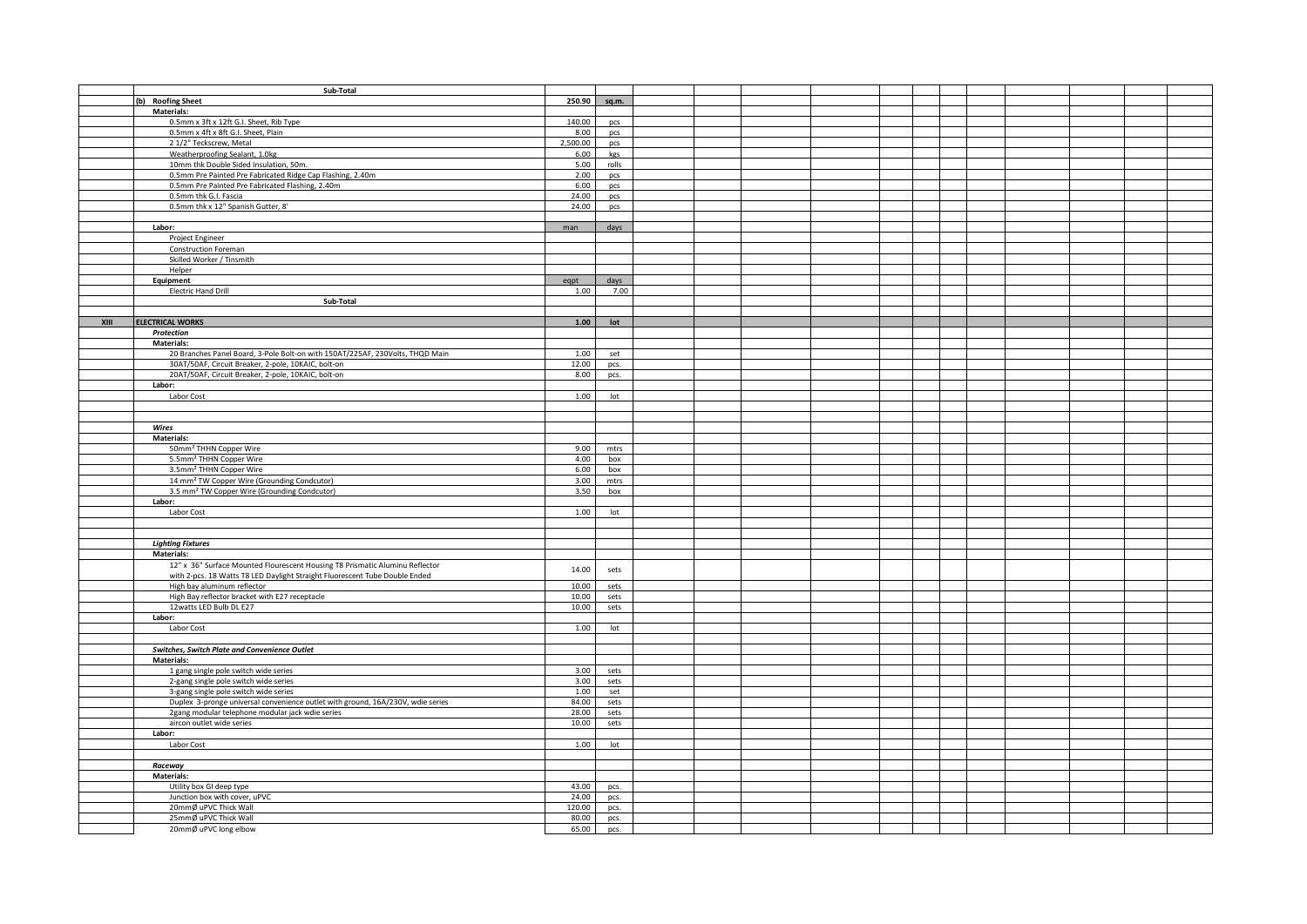|      | Sub-Total                                                                       |          |                 |  |  |  |  |  |  |
|------|---------------------------------------------------------------------------------|----------|-----------------|--|--|--|--|--|--|
|      |                                                                                 |          |                 |  |  |  |  |  |  |
|      | (b) Roofing Sheet                                                               | 250.90   | sq.m.           |  |  |  |  |  |  |
|      | <b>Materials:</b>                                                               |          |                 |  |  |  |  |  |  |
|      | 0.5mm x 3ft x 12ft G.I. Sheet, Rib Type                                         | 140.00   | pcs             |  |  |  |  |  |  |
|      | 0.5mm x 4ft x 8ft G.I. Sheet, Plain                                             | 8.00     | pcs             |  |  |  |  |  |  |
|      | 2 1/2" Teckscrew, Metal                                                         | 2,500.00 | pcs             |  |  |  |  |  |  |
|      | Weatherproofing Sealant, 1.0kg                                                  | 6.00     | kgs             |  |  |  |  |  |  |
|      | 10mm thk Double Sided Insulation, 50m.                                          | 5.00     | rolls           |  |  |  |  |  |  |
|      |                                                                                 |          |                 |  |  |  |  |  |  |
|      | 0.5mm Pre Painted Pre Fabricated Ridge Cap Flashing, 2.40m                      | 2.00     | pcs             |  |  |  |  |  |  |
|      | 0.5mm Pre Painted Pre Fabricated Flashing, 2.40m                                | 6.00     | pcs             |  |  |  |  |  |  |
|      | 0.5mm thk G.I. Fascia                                                           | 24.00    | pcs             |  |  |  |  |  |  |
|      | 0.5mm thk x 12" Spanish Gutter, 8'                                              | 24.00    | pcs             |  |  |  |  |  |  |
|      |                                                                                 |          |                 |  |  |  |  |  |  |
|      | Labor:                                                                          | man      | days            |  |  |  |  |  |  |
|      |                                                                                 |          |                 |  |  |  |  |  |  |
|      | Project Engineer                                                                |          |                 |  |  |  |  |  |  |
|      | <b>Construction Foreman</b>                                                     |          |                 |  |  |  |  |  |  |
|      | Skilled Worker / Tinsmith                                                       |          |                 |  |  |  |  |  |  |
|      | Helper                                                                          |          |                 |  |  |  |  |  |  |
|      | Equipment                                                                       | eqpt     | days            |  |  |  |  |  |  |
|      | <b>Electric Hand Drill</b>                                                      | 1.00     | 7.00            |  |  |  |  |  |  |
|      |                                                                                 |          |                 |  |  |  |  |  |  |
|      | Sub-Total                                                                       |          |                 |  |  |  |  |  |  |
|      |                                                                                 |          |                 |  |  |  |  |  |  |
| XIII | <b>ELECTRICAL WORKS</b>                                                         | 1.00     | lot             |  |  |  |  |  |  |
|      | Protection                                                                      |          |                 |  |  |  |  |  |  |
|      | Materials:                                                                      |          |                 |  |  |  |  |  |  |
|      | 20 Branches Panel Board, 3-Pole Bolt-on with 150AT/225AF, 230Volts, THQD Main   | 1.00     | set             |  |  |  |  |  |  |
|      | 30AT/50AF, Circuit Breaker, 2-pole, 10KAIC, bolt-on                             | 12.00    | pcs.            |  |  |  |  |  |  |
|      | 20AT/50AF, Circuit Breaker, 2-pole, 10KAIC, bolt-on                             | 8.00     | pcs.            |  |  |  |  |  |  |
|      |                                                                                 |          |                 |  |  |  |  |  |  |
|      | Labor:                                                                          |          |                 |  |  |  |  |  |  |
|      | Labor Cost                                                                      | 1.00     | $_{\text{lot}}$ |  |  |  |  |  |  |
|      |                                                                                 |          |                 |  |  |  |  |  |  |
|      |                                                                                 |          |                 |  |  |  |  |  |  |
|      | Wires                                                                           |          |                 |  |  |  |  |  |  |
|      | Materials:                                                                      |          |                 |  |  |  |  |  |  |
|      |                                                                                 |          |                 |  |  |  |  |  |  |
|      | 50mm <sup>2</sup> THHN Copper Wire                                              | 9.00     | mtrs            |  |  |  |  |  |  |
|      | 5.5mm <sup>2</sup> THHN Copper Wire                                             | 4.00     | box             |  |  |  |  |  |  |
|      | 3.5mm <sup>2</sup> THHN Copper Wire                                             | 6.00     | box             |  |  |  |  |  |  |
|      | 14 mm <sup>2</sup> TW Copper Wire (Grounding Condcutor)                         | 3.00     | mtrs            |  |  |  |  |  |  |
|      | 3.5 mm <sup>2</sup> TW Copper Wire (Grounding Condcutor)                        | 3.50     | box             |  |  |  |  |  |  |
|      | Labor:                                                                          |          |                 |  |  |  |  |  |  |
|      | Labor Cost                                                                      | 1.00     | lot             |  |  |  |  |  |  |
|      |                                                                                 |          |                 |  |  |  |  |  |  |
|      |                                                                                 |          |                 |  |  |  |  |  |  |
|      |                                                                                 |          |                 |  |  |  |  |  |  |
|      | <b>Lighting Fixtures</b>                                                        |          |                 |  |  |  |  |  |  |
|      | Materials:                                                                      |          |                 |  |  |  |  |  |  |
|      | 12" x 36" Surface Mounted Flourescent Housing T8 Prismatic Aluminu Reflector    |          |                 |  |  |  |  |  |  |
|      | with 2-pcs. 18 Watts T8 LED Daylight Straight Fluorescent Tube Double Ended     | 14.00    | sets            |  |  |  |  |  |  |
|      | High bay aluminum reflector                                                     | 10.00    | sets            |  |  |  |  |  |  |
|      |                                                                                 | 10.00    |                 |  |  |  |  |  |  |
|      | High Bay reflector bracket with E27 receptacle                                  |          | sets            |  |  |  |  |  |  |
|      | 12watts LED Bulb DL E27                                                         | 10.00    | sets            |  |  |  |  |  |  |
|      | Labor:                                                                          |          |                 |  |  |  |  |  |  |
|      | Labor Cost                                                                      | 1.00     | lot             |  |  |  |  |  |  |
|      |                                                                                 |          |                 |  |  |  |  |  |  |
|      | Switches, Switch Plate and Convenience Outlet                                   |          |                 |  |  |  |  |  |  |
|      | <b>Materials:</b>                                                               |          |                 |  |  |  |  |  |  |
|      |                                                                                 |          |                 |  |  |  |  |  |  |
|      | 1 gang single pole switch wide series                                           | 3.00     | sets            |  |  |  |  |  |  |
|      | 2-gang single pole switch wide series                                           | 3.00     | sets            |  |  |  |  |  |  |
|      | 3-gang single pole switch wide series                                           | 1.00     | set             |  |  |  |  |  |  |
|      | Duplex 3-pronge universal convenience outlet with ground, 16A/230V, wdie series | 84.00    | sets            |  |  |  |  |  |  |
|      | 2gang modular telephone modular jack wdie series                                | 28.00    | sets            |  |  |  |  |  |  |
|      | aircon outlet wide series                                                       | 10.00    | sets            |  |  |  |  |  |  |
|      | Labor:                                                                          |          |                 |  |  |  |  |  |  |
|      |                                                                                 | 1.00     | lot             |  |  |  |  |  |  |
|      | Labor Cost                                                                      |          |                 |  |  |  |  |  |  |
|      |                                                                                 |          |                 |  |  |  |  |  |  |
|      | Raceway                                                                         |          |                 |  |  |  |  |  |  |
|      | <b>Materials:</b>                                                               |          |                 |  |  |  |  |  |  |
|      | Utility box GI deep type                                                        | 43.00    | pcs.            |  |  |  |  |  |  |
|      | Junction box with cover, uPVC                                                   | 24.00    | pcs.            |  |  |  |  |  |  |
|      | 20mmØ uPVC Thick Wall                                                           | 120.00   |                 |  |  |  |  |  |  |
|      |                                                                                 |          | pcs.            |  |  |  |  |  |  |
|      | 25mmØ uPVC Thick Wall                                                           | 80.00    | pcs.            |  |  |  |  |  |  |
|      | 20mmØ uPVC long elbow                                                           | 65.00    | pcs.            |  |  |  |  |  |  |